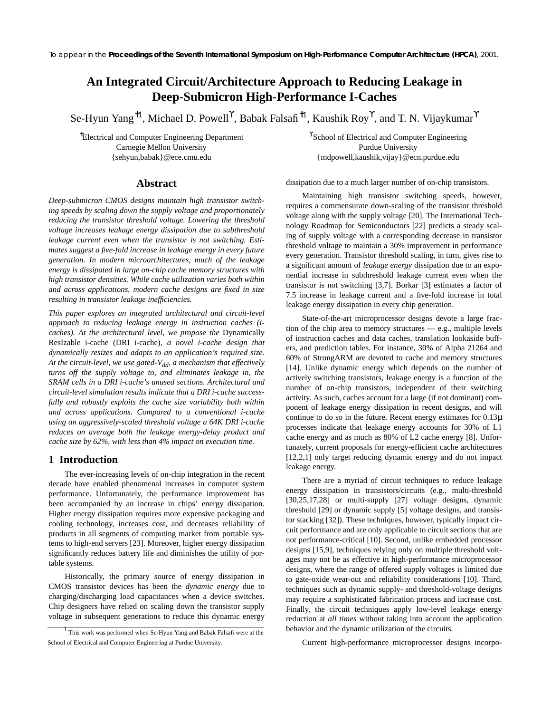To appear in the **Proceedings of the Seventh International Symposium on High-Performance Computer Architecture (HPCA)**, 2001.

# **An Integrated Circuit/Architecture Approach to Reducing Leakage in Deep-Submicron High-Performance I-Caches**

Se-Hyun Yang<sup>†1</sup>, Michael D. Powell<sup>Y</sup>, Babak Falsafi<sup>†1</sup>, Kaushik Roy<sup>Y</sup>, and T. N. Vijaykumar<sup>Y</sup>

✝ Electrical and Computer Engineering Department Carnegie Mellon University {sehyun,babak}@ece.cmu.edu

<sup>T</sup>School of Electrical and Computer Engineering Purdue University {mdpowell,kaushik,vijay}@ecn.purdue.edu

# **Abstract**

*Deep-submicron CMOS designs maintain high transistor switching speeds by scaling down the supply voltage and proportionately reducing the transistor threshold voltage. Lowering the threshold voltage increases leakage energy dissipation due to subthreshold leakage current even when the transistor is not switching. Estimates suggest a five-fold increase in leakage energy in every future generation. In modern microarchitectures, much of the leakage energy is dissipated in large on-chip cache memory structures with high transistor densities. While cache utilization varies both within and across applications, modern cache designs are fixed in size resulting in transistor leakage inefficiencies.*

*This paper explores an integrated architectural and circuit-level approach to reducing leakage energy in instruction caches (icaches). At the architectural level, we propose the* Dynamically ResIzable i-cache (DRI i-cache)*, a novel i-cache design that dynamically resizes and adapts to an application's required size.* At the circuit-level, we use gated- $V_{dd}$ , a mechanism that effectively *turns off the supply voltage to, and eliminates leakage in, the SRAM cells in a DRI i-cache's unused sections. Architectural and circuit-level simulation results indicate that a DRI i-cache successfully and robustly exploits the cache size variability both within and across applications. Compared to a conventional i-cache using an aggressively-scaled threshold voltage a 64K DRI i-cache reduces on average both the leakage energy-delay product and cache size by 62%, with less than 4% impact on execution time.*

# **1 Introduction**

The ever-increasing levels of on-chip integration in the recent decade have enabled phenomenal increases in computer system performance. Unfortunately, the performance improvement has been accompanied by an increase in chips' energy dissipation. Higher energy dissipation requires more expensive packaging and cooling technology, increases cost, and decreases reliability of products in all segments of computing market from portable systems to high-end servers [23]. Moreover, higher energy dissipation significantly reduces battery life and diminishes the utility of portable systems.

Historically, the primary source of energy dissipation in CMOS transistor devices has been the *dynamic energy* due to charging/discharging load capacitances when a device switches. Chip designers have relied on scaling down the transistor supply voltage in subsequent generations to reduce this dynamic energy

dissipation due to a much larger number of on-chip transistors.

Maintaining high transistor switching speeds, however, requires a commensurate down-scaling of the transistor threshold voltage along with the supply voltage [20]. The International Technology Roadmap for Semiconductors [22] predicts a steady scaling of supply voltage with a corresponding decrease in transistor threshold voltage to maintain a 30% improvement in performance every generation. Transistor threshold scaling, in turn, gives rise to a significant amount of *leakage energy* dissipation due to an exponential increase in subthreshold leakage current even when the transistor is not switching [3,7]. Borkar [3] estimates a factor of 7.5 increase in leakage current and a five-fold increase in total leakage energy dissipation in every chip generation.

State-of-the-art microprocessor designs devote a large fraction of the chip area to memory structures — e.g., multiple levels of instruction caches and data caches, translation lookaside buffers, and prediction tables. For instance, 30% of Alpha 21264 and 60% of StrongARM are devoted to cache and memory structures [14]. Unlike dynamic energy which depends on the number of actively switching transistors, leakage energy is a function of the number of on-chip transistors, independent of their switching activity. As such, caches account for a large (if not dominant) component of leakage energy dissipation in recent designs, and will continue to do so in the future. Recent energy estimates for 0.13µ processes indicate that leakage energy accounts for 30% of L1 cache energy and as much as 80% of L2 cache energy [8]. Unfortunately, current proposals for energy-efficient cache architectures [12,2,1] only target reducing dynamic energy and do not impact leakage energy.

There are a myriad of circuit techniques to reduce leakage energy dissipation in transistors/circuits (e.g., multi-threshold [30,25,17,28] or multi-supply [27] voltage designs, dynamic threshold [29] or dynamic supply [5] voltage designs, and transistor stacking [32]). These techniques, however, typically impact circuit performance and are only applicable to circuit sections that are not performance-critical [10]. Second, unlike embedded processor designs [15,9], techniques relying only on multiple threshold voltages may not be as effective in high-performance microprocessor designs, where the range of offered supply voltages is limited due to gate-oxide wear-out and reliability considerations [10]. Third, techniques such as dynamic supply- and threshold-voltage designs may require a sophisticated fabrication process and increase cost. Finally, the circuit techniques apply low-level leakage energy reduction at *all times* without taking into account the application behavior and the dynamic utilization of the circuits.

Current high-performance microprocessor designs incorpo-

<sup>1</sup> This work was performed when Se-Hyun Yang and Babak Falsafi were at the School of Electrical and Computer Engineering at Purdue University.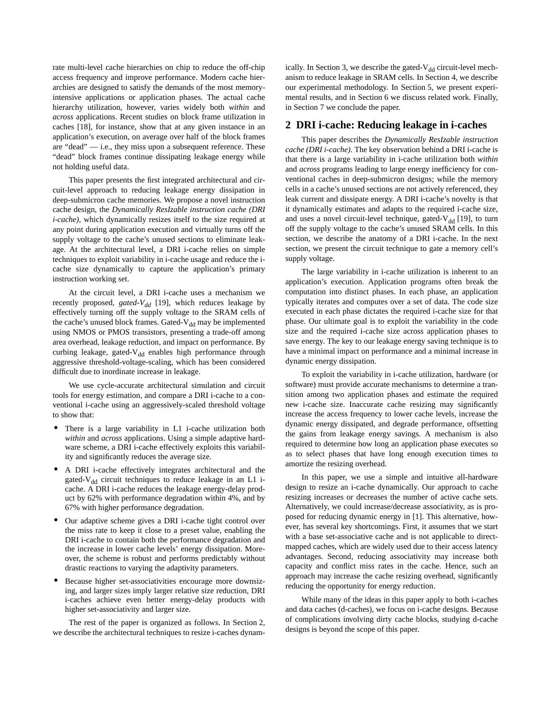rate multi-level cache hierarchies on chip to reduce the off-chip access frequency and improve performance. Modern cache hierarchies are designed to satisfy the demands of the most memoryintensive applications or application phases. The actual cache hierarchy utilization, however, varies widely both *within* and *across* applications. Recent studies on block frame utilization in caches [18], for instance, show that at any given instance in an application's execution, on average over half of the block frames are "dead" — i.e., they miss upon a subsequent reference. These "dead" block frames continue dissipating leakage energy while not holding useful data.

This paper presents the first integrated architectural and circuit-level approach to reducing leakage energy dissipation in deep-submicron cache memories. We propose a novel instruction cache design, the *Dynamically ResIzable instruction cache (DRI i-cache),* which dynamically resizes itself to the size required at any point during application execution and virtually turns off the supply voltage to the cache's unused sections to eliminate leakage. At the architectural level, a DRI i-cache relies on simple techniques to exploit variability in i-cache usage and reduce the icache size dynamically to capture the application's primary instruction working set.

At the circuit level, a DRI i-cache uses a mechanism we recently proposed, *gated-V<sub>dd</sub>* [19], which reduces leakage by effectively turning off the supply voltage to the SRAM cells of the cache's unused block frames. Gated- $V_{dd}$  may be implemented using NMOS or PMOS transistors, presenting a trade-off among area overhead, leakage reduction, and impact on performance. By curbing leakage, gated- $V_{dd}$  enables high performance through aggressive threshold-voltage-scaling, which has been considered difficult due to inordinate increase in leakage.

We use cycle-accurate architectural simulation and circuit tools for energy estimation, and compare a DRI i-cache to a conventional i-cache using an aggressively-scaled threshold voltage to show that:

- **•** There is a large variability in L1 i-cache utilization both *within* and *across* applications. Using a simple adaptive hardware scheme, a DRI i-cache effectively exploits this variability and significantly reduces the average size.
- **•** A DRI i-cache effectively integrates architectural and the gated- $V_{dd}$  circuit techniques to reduce leakage in an L1 icache. A DRI i-cache reduces the leakage energy-delay product by 62% with performance degradation within 4%, and by 67% with higher performance degradation.
- **•** Our adaptive scheme gives a DRI i-cache tight control over the miss rate to keep it close to a preset value, enabling the DRI i-cache to contain both the performance degradation and the increase in lower cache levels' energy dissipation. Moreover, the scheme is robust and performs predictably without drastic reactions to varying the adaptivity parameters.
- **•** Because higher set-associativities encourage more downsizing, and larger sizes imply larger relative size reduction, DRI i-caches achieve even better energy-delay products with higher set-associativity and larger size.

The rest of the paper is organized as follows. In [Section 2](#page-1-0), we describe the architectural techniques to resize i-caches dynamically. In [Section 3,](#page-4-0) we describe the gated- $V_{dd}$  circuit-level mechanism to reduce leakage in SRAM cells. In [Section 4,](#page-4-1) we describe our experimental methodology. In [Section 5,](#page-5-0) we present experimental results, and in [Section 6](#page-9-0) we discuss related work. Finally, in [Section 7](#page-9-1) we conclude the paper.

# <span id="page-1-0"></span>**2 DRI i-cache: Reducing leakage in i-caches**

This paper describes the *Dynamically ResIzable instruction cache (DRI i-cache)*. The key observation behind a DRI i-cache is that there is a large variability in i-cache utilization both *within* and *across* programs leading to large energy inefficiency for conventional caches in deep-submicron designs; while the memory cells in a cache's unused sections are not actively referenced, they leak current and dissipate energy. A DRI i-cache's novelty is that it dynamically estimates and adapts to the required i-cache size, and uses a novel circuit-level technique, gated- $V_{dd}$  [19], to turn off the supply voltage to the cache's unused SRAM cells. In this section, we describe the anatomy of a DRI i-cache. In the next section, we present the circuit technique to gate a memory cell's supply voltage.

The large variability in i-cache utilization is inherent to an application's execution. Application programs often break the computation into distinct phases. In each phase, an application typically iterates and computes over a set of data. The code size executed in each phase dictates the required i-cache size for that phase. Our ultimate goal is to exploit the variability in the code size and the required i-cache size across application phases to save energy. The key to our leakage energy saving technique is to have a minimal impact on performance and a minimal increase in dynamic energy dissipation.

To exploit the variability in i-cache utilization, hardware (or software) must provide accurate mechanisms to determine a transition among two application phases and estimate the required new i-cache size. Inaccurate cache resizing may significantly increase the access frequency to lower cache levels, increase the dynamic energy dissipated, and degrade performance, offsetting the gains from leakage energy savings. A mechanism is also required to determine how long an application phase executes so as to select phases that have long enough execution times to amortize the resizing overhead.

In this paper, we use a simple and intuitive all-hardware design to resize an i-cache dynamically. Our approach to cache resizing increases or decreases the number of active cache sets. Alternatively, we could increase/decrease associativity, as is proposed for reducing dynamic energy in [1]. This alternative, however, has several key shortcomings. First, it assumes that we start with a base set-associative cache and is not applicable to directmapped caches, which are widely used due to their access latency advantages. Second, reducing associativity may increase both capacity and conflict miss rates in the cache. Hence, such an approach may increase the cache resizing overhead, significantly reducing the opportunity for energy reduction.

While many of the ideas in this paper apply to both i-caches and data caches (d-caches), we focus on i-cache designs. Because of complications involving dirty cache blocks, studying d-cache designs is beyond the scope of this paper.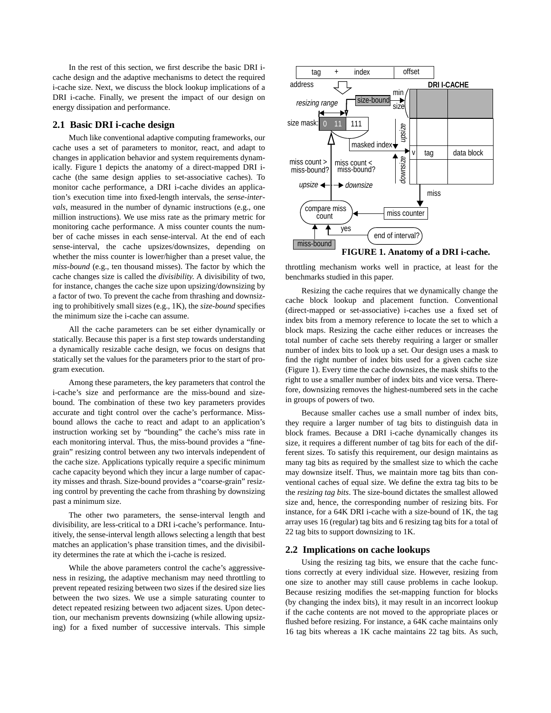In the rest of this section, we first describe the basic DRI icache design and the adaptive mechanisms to detect the required i-cache size. Next, we discuss the block lookup implications of a DRI i-cache. Finally, we present the impact of our design on energy dissipation and performance.

### <span id="page-2-1"></span>**2.1 Basic DRI i-cache design**

Much like conventional adaptive computing frameworks, our cache uses a set of parameters to monitor, react, and adapt to changes in application behavior and system requirements dynamically. [Figure 1](#page-2-0) depicts the anatomy of a direct-mapped DRI icache (the same design applies to set-associative caches). To monitor cache performance, a DRI i-cache divides an application's execution time into fixed-length intervals, the *sense-intervals,* measured in the number of dynamic instructions (e.g., one million instructions). We use miss rate as the primary metric for monitoring cache performance. A miss counter counts the number of cache misses in each sense-interval. At the end of each sense-interval, the cache upsizes/downsizes, depending on whether the miss counter is lower/higher than a preset value, the *miss-bound* (e.g., ten thousand misses). The factor by which the cache changes size is called the *divisibility*. A divisibility of two, for instance, changes the cache size upon upsizing/downsizing by a factor of two. To prevent the cache from thrashing and downsizing to prohibitively small sizes (e.g., 1K), the *size-bound* specifies the minimum size the i-cache can assume.

All the cache parameters can be set either dynamically or statically. Because this paper is a first step towards understanding a dynamically resizable cache design, we focus on designs that statically set the values for the parameters prior to the start of program execution.

Among these parameters, the key parameters that control the i-cache's size and performance are the miss-bound and sizebound. The combination of these two key parameters provides accurate and tight control over the cache's performance. Missbound allows the cache to react and adapt to an application's instruction working set by "bounding" the cache's miss rate in each monitoring interval. Thus, the miss-bound provides a "finegrain" resizing control between any two intervals independent of the cache size. Applications typically require a specific minimum cache capacity beyond which they incur a large number of capacity misses and thrash. Size-bound provides a "coarse-grain" resizing control by preventing the cache from thrashing by downsizing past a minimum size.

The other two parameters, the sense-interval length and divisibility, are less-critical to a DRI i-cache's performance. Intuitively, the sense-interval length allows selecting a length that best matches an application's phase transition times, and the divisibility determines the rate at which the i-cache is resized.

While the above parameters control the cache's aggressiveness in resizing, the adaptive mechanism may need throttling to prevent repeated resizing between two sizes if the desired size lies between the two sizes. We use a simple saturating counter to detect repeated resizing between two adjacent sizes. Upon detection, our mechanism prevents downsizing (while allowing upsizing) for a fixed number of successive intervals. This simple



<span id="page-2-0"></span>throttling mechanism works well in practice, at least for the benchmarks studied in this paper.

Resizing the cache requires that we dynamically change the cache block lookup and placement function. Conventional (direct-mapped or set-associative) i-caches use a fixed set of index bits from a memory reference to locate the set to which a block maps. Resizing the cache either reduces or increases the total number of cache sets thereby requiring a larger or smaller number of index bits to look up a set. Our design uses a mask to find the right number of index bits used for a given cache size [\(Figure 1](#page-2-0)). Every time the cache downsizes, the mask shifts to the right to use a smaller number of index bits and vice versa. Therefore, downsizing removes the highest-numbered sets in the cache in groups of powers of two.

Because smaller caches use a small number of index bits, they require a larger number of tag bits to distinguish data in block frames. Because a DRI i-cache dynamically changes its size, it requires a different number of tag bits for each of the different sizes. To satisfy this requirement, our design maintains as many tag bits as required by the smallest size to which the cache may downsize itself. Thus, we maintain more tag bits than conventional caches of equal size. We define the extra tag bits to be the *resizing tag bits*. The size-bound dictates the smallest allowed size and, hence, the corresponding number of resizing bits. For instance, for a 64K DRI i-cache with a size-bound of 1K, the tag array uses 16 (regular) tag bits and 6 resizing tag bits for a total of 22 tag bits to support downsizing to 1K.

#### **2.2 Implications on cache lookups**

Using the resizing tag bits, we ensure that the cache functions correctly at every individual size. However, resizing from one size to another may still cause problems in cache lookup. Because resizing modifies the set-mapping function for blocks (by changing the index bits), it may result in an incorrect lookup if the cache contents are not moved to the appropriate places or flushed before resizing. For instance, a 64K cache maintains only 16 tag bits whereas a 1K cache maintains 22 tag bits. As such,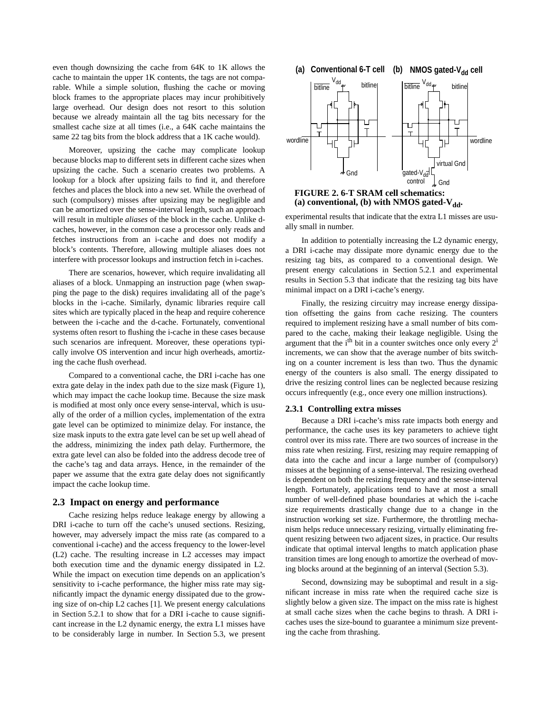even though downsizing the cache from 64K to 1K allows the cache to maintain the upper 1K contents, the tags are not comparable. While a simple solution, flushing the cache or moving block frames to the appropriate places may incur prohibitively large overhead. Our design does not resort to this solution because we already maintain all the tag bits necessary for the smallest cache size at all times (i.e., a 64K cache maintains the same 22 tag bits from the block address that a 1K cache would).

Moreover, upsizing the cache may complicate lookup because blocks map to different sets in different cache sizes when upsizing the cache. Such a scenario creates two problems. A lookup for a block after upsizing fails to find it, and therefore fetches and places the block into a new set. While the overhead of such (compulsory) misses after upsizing may be negligible and can be amortized over the sense-interval length, such an approach will result in multiple *aliases* of the block in the cache. Unlike dcaches, however, in the common case a processor only reads and fetches instructions from an i-cache and does not modify a block's contents. Therefore, allowing multiple aliases does not interfere with processor lookups and instruction fetch in i-caches.

There are scenarios, however, which require invalidating all aliases of a block. Unmapping an instruction page (when swapping the page to the disk) requires invalidating all of the page's blocks in the i-cache. Similarly, dynamic libraries require call sites which are typically placed in the heap and require coherence between the i-cache and the d-cache. Fortunately, conventional systems often resort to flushing the i-cache in these cases because such scenarios are infrequent. Moreover, these operations typically involve OS intervention and incur high overheads, amortizing the cache flush overhead.

Compared to a conventional cache, the DRI i-cache has one extra gate delay in the index path due to the size mask [\(Figure 1\)](#page-2-0), which may impact the cache lookup time. Because the size mask is modified at most only once every sense-interval, which is usually of the order of a million cycles, implementation of the extra gate level can be optimized to minimize delay. For instance, the size mask inputs to the extra gate level can be set up well ahead of the address, minimizing the index path delay. Furthermore, the extra gate level can also be folded into the address decode tree of the cache's tag and data arrays. Hence, in the remainder of the paper we assume that the extra gate delay does not significantly impact the cache lookup time.

#### <span id="page-3-1"></span>**2.3 Impact on energy and performance**

Cache resizing helps reduce leakage energy by allowing a DRI i-cache to turn off the cache's unused sections. Resizing, however, may adversely impact the miss rate (as compared to a conventional i-cache) and the access frequency to the lower-level (L2) cache. The resulting increase in L2 accesses may impact both execution time and the dynamic energy dissipated in L2. While the impact on execution time depends on an application's sensitivity to i-cache performance, the higher miss rate may significantly impact the dynamic energy dissipated due to the growing size of on-chip L2 caches [1]. We present energy calculations in [Section 5.2.1](#page-6-0) to show that for a DRI i-cache to cause significant increase in the L2 dynamic energy, the extra L1 misses have to be considerably large in number. In [Section 5.3](#page-6-1), we present



<span id="page-3-0"></span>

experimental results that indicate that the extra L1 misses are usually small in number.

In addition to potentially increasing the L2 dynamic energy, a DRI i-cache may dissipate more dynamic energy due to the resizing tag bits, as compared to a conventional design. We present energy calculations in [Section 5.2.1](#page-6-0) and experimental results in [Section 5.3](#page-6-1) that indicate that the resizing tag bits have minimal impact on a DRI i-cache's energy.

Finally, the resizing circuitry may increase energy dissipation offsetting the gains from cache resizing. The counters required to implement resizing have a small number of bits compared to the cache, making their leakage negligible. Using the argument that the  $i<sup>th</sup>$  bit in a counter switches once only every  $2<sup>i</sup>$ increments, we can show that the average number of bits switching on a counter increment is less than two. Thus the dynamic energy of the counters is also small. The energy dissipated to drive the resizing control lines can be neglected because resizing occurs infrequently (e.g., once every one million instructions).

#### **2.3.1 Controlling extra misses**

Because a DRI i-cache's miss rate impacts both energy and performance, the cache uses its key parameters to achieve tight control over its miss rate. There are two sources of increase in the miss rate when resizing. First, resizing may require remapping of data into the cache and incur a large number of (compulsory) misses at the beginning of a sense-interval. The resizing overhead is dependent on both the resizing frequency and the sense-interval length. Fortunately, applications tend to have at most a small number of well-defined phase boundaries at which the i-cache size requirements drastically change due to a change in the instruction working set size. Furthermore, the throttling mechanism helps reduce unnecessary resizing, virtually eliminating frequent resizing between two adjacent sizes, in practice. Our results indicate that optimal interval lengths to match application phase transition times are long enough to amortize the overhead of moving blocks around at the beginning of an interval [\(Section 5.3\)](#page-6-1).

Second, downsizing may be suboptimal and result in a significant increase in miss rate when the required cache size is slightly below a given size. The impact on the miss rate is highest at small cache sizes when the cache begins to thrash. A DRI icaches uses the size-bound to guarantee a minimum size preventing the cache from thrashing.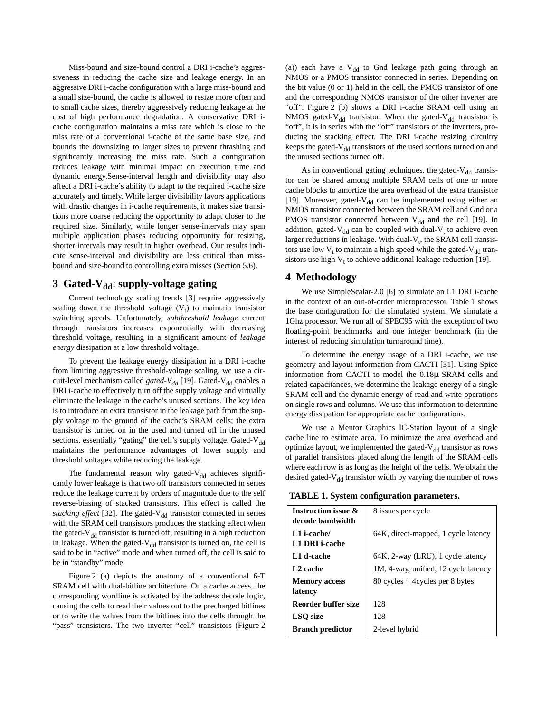Miss-bound and size-bound control a DRI i-cache's aggressiveness in reducing the cache size and leakage energy. In an aggressive DRI i-cache configuration with a large miss-bound and a small size-bound, the cache is allowed to resize more often and to small cache sizes, thereby aggressively reducing leakage at the cost of high performance degradation. A conservative DRI icache configuration maintains a miss rate which is close to the miss rate of a conventional i-cache of the same base size, and bounds the downsizing to larger sizes to prevent thrashing and significantly increasing the miss rate. Such a configuration reduces leakage with minimal impact on execution time and dynamic energy.Sense-interval length and divisibility may also affect a DRI i-cache's ability to adapt to the required i-cache size accurately and timely. While larger divisibility favors applications with drastic changes in i-cache requirements, it makes size transitions more coarse reducing the opportunity to adapt closer to the required size. Similarly, while longer sense-intervals may span multiple application phases reducing opportunity for resizing, shorter intervals may result in higher overhead. Our results indicate sense-interval and divisibility are less critical than missbound and size-bound to controlling extra misses ([Section 5.6](#page-9-2)).

# <span id="page-4-0"></span>**3 Gated-V**<sub>dd</sub>: **supply-voltage gating**

Current technology scaling trends [3] require aggressively scaling down the threshold voltage  $(V_t)$  to maintain transistor switching speeds. Unfortunately, *subthreshold leakage* current through transistors increases exponentially with decreasing threshold voltage, resulting in a significant amount of *leakage energy* dissipation at a low threshold voltage.

To prevent the leakage energy dissipation in a DRI i-cache from limiting aggressive threshold-voltage scaling, we use a circuit-level mechanism called *gated-V<sub>dd</sub>* [19]. Gated-V<sub>dd</sub> enables a DRI i-cache to effectively turn off the supply voltage and virtually eliminate the leakage in the cache's unused sections. The key idea is to introduce an extra transistor in the leakage path from the supply voltage to the ground of the cache's SRAM cells; the extra transistor is turned on in the used and turned off in the unused sections, essentially "gating" the cell's supply voltage. Gated-V<sub>dd</sub> maintains the performance advantages of lower supply and threshold voltages while reducing the leakage.

The fundamental reason why gated- $V_{dd}$  achieves significantly lower leakage is that two off transistors connected in series reduce the leakage current by orders of magnitude due to the self reverse-biasing of stacked transistors. This effect is called the *stacking effect* [32]. The gated-V<sub>dd</sub> transistor connected in series with the SRAM cell transistors produces the stacking effect when the gated- $V_{dd}$  transistor is turned off, resulting in a high reduction in leakage. When the gated- $V_{dd}$  transistor is turned on, the cell is said to be in "active" mode and when turned off, the cell is said to be in "standby" mode.

[Figure 2](#page-3-0) (a) depicts the anatomy of a conventional 6-T SRAM cell with dual-bitline architecture. On a cache access, the corresponding wordline is activated by the address decode logic, causing the cells to read their values out to the precharged bitlines or to write the values from the bitlines into the cells through the "pass" transistors. The two inverter "cell" transistors ([Figure 2](#page-3-0)

(a)) each have a  $V_{dd}$  to Gnd leakage path going through an NMOS or a PMOS transistor connected in series. Depending on the bit value (0 or 1) held in the cell, the PMOS transistor of one and the corresponding NMOS transistor of the other inverter are "off". [Figure 2](#page-3-0) (b) shows a DRI i-cache SRAM cell using an NMOS gated- $V_{dd}$  transistor. When the gated- $V_{dd}$  transistor is "off", it is in series with the "off" transistors of the inverters, producing the stacking effect. The DRI i-cache resizing circuitry keeps the gated- $V_{dd}$  transistors of the used sections turned on and the unused sections turned off.

As in conventional gating techniques, the gated- $V_{dd}$  transistor can be shared among multiple SRAM cells of one or more cache blocks to amortize the area overhead of the extra transistor [19]. Moreover, gated- $V_{dd}$  can be implemented using either an NMOS transistor connected between the SRAM cell and Gnd or a PMOS transistor connected between  $V_{dd}$  and the cell [19]. In addition, gated- $V_{dd}$  can be coupled with dual- $V_t$  to achieve even larger reductions in leakage. With dual- $V_t$ , the SRAM cell transistors use low  $V_t$  to maintain a high speed while the gated- $V_{dd}$  transistors use high  $V_t$  to achieve additional leakage reduction [19].

# <span id="page-4-1"></span>**4 Methodology**

We use SimpleScalar-2.0 [6] to simulate an L1 DRI i-cache in the context of an out-of-order microprocessor. [Table 1](#page-4-2) shows the base configuration for the simulated system. We simulate a 1Ghz processor. We run all of SPEC95 with the exception of two floating-point benchmarks and one integer benchmark (in the interest of reducing simulation turnaround time).

To determine the energy usage of a DRI i-cache, we use geometry and layout information from CACTI [31]. Using Spice information from CACTI to model the 0.18µ SRAM cells and related capacitances, we determine the leakage energy of a single SRAM cell and the dynamic energy of read and write operations on single rows and columns. We use this information to determine energy dissipation for appropriate cache configurations.

We use a Mentor Graphics IC-Station layout of a single cache line to estimate area. To minimize the area overhead and optimize layout, we implemented the gated- $V_{dd}$  transistor as rows of parallel transistors placed along the length of the SRAM cells where each row is as long as the height of the cells. We obtain the desired gated- $V_{dd}$  transistor width by varying the number of rows

<span id="page-4-2"></span>**TABLE 1. System configuration parameters.**

| <b>Instruction issue &amp;</b><br>decode bandwidth | 8 issues per cycle                   |  |  |
|----------------------------------------------------|--------------------------------------|--|--|
| L1 i-cache/<br><b>L1 DRI i-cache</b>               | 64K, direct-mapped, 1 cycle latency  |  |  |
| L1 d-cache                                         | 64K, 2-way (LRU), 1 cycle latency    |  |  |
| L <sub>2</sub> cache                               | 1M, 4-way, unified, 12 cycle latency |  |  |
| <b>Memory access</b><br>latency                    | $80$ cycles + 4 cycles per 8 bytes   |  |  |
| <b>Reorder buffer size</b>                         | 128                                  |  |  |
| <b>LSO</b> size                                    | 128                                  |  |  |
| <b>Branch predictor</b>                            | 2-level hybrid                       |  |  |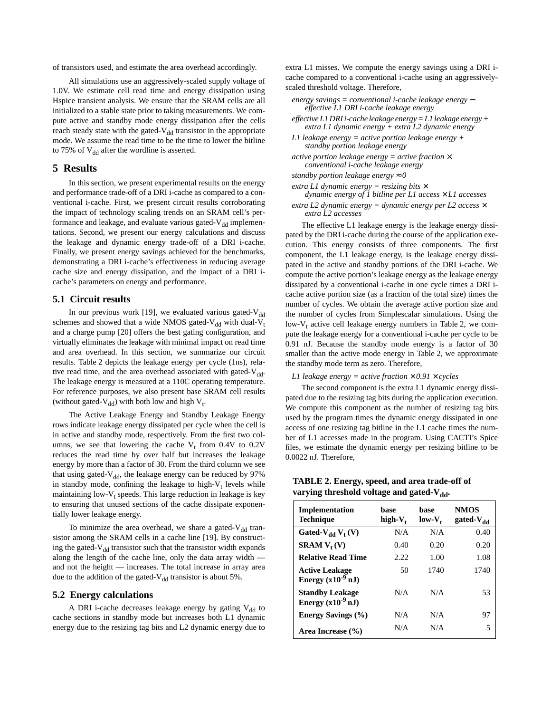of transistors used, and estimate the area overhead accordingly.

All simulations use an aggressively-scaled supply voltage of 1.0V. We estimate cell read time and energy dissipation using Hspice transient analysis. We ensure that the SRAM cells are all initialized to a stable state prior to taking measurements. We compute active and standby mode energy dissipation after the cells reach steady state with the gated- $V_{dd}$  transistor in the appropriate mode. We assume the read time to be the time to lower the bitline to 75% of  $V_{dd}$  after the wordline is asserted.

# <span id="page-5-0"></span>**5 Results**

In this section, we present experimental results on the energy and performance trade-off of a DRI i-cache as compared to a conventional i-cache. First, we present circuit results corroborating the impact of technology scaling trends on an SRAM cell's performance and leakage, and evaluate various gated- $V_{dd}$  implementations. Second, we present our energy calculations and discuss the leakage and dynamic energy trade-off of a DRI i-cache. Finally, we present energy savings achieved for the benchmarks, demonstrating a DRI i-cache's effectiveness in reducing average cache size and energy dissipation, and the impact of a DRI icache's parameters on energy and performance.

### **5.1 Circuit results**

In our previous work [19], we evaluated various gated- $V_{dd}$ schemes and showed that a wide NMOS gated- $V_{dd}$  with dual- $V_{td}$ and a charge pump [20] offers the best gating configuration, and virtually eliminates the leakage with minimal impact on read time and area overhead. In this section, we summarize our circuit results. [Table 2](#page-5-1) depicts the leakage energy per cycle (1ns), relative read time, and the area overhead associated with gated- $V_{dd}$ . The leakage energy is measured at a 110C operating temperature. For reference purposes, we also present base SRAM cell results (without gated- $V_{dd}$ ) with both low and high  $V_t$ .

The Active Leakage Energy and Standby Leakage Energy rows indicate leakage energy dissipated per cycle when the cell is in active and standby mode, respectively. From the first two columns, we see that lowering the cache  $V_t$  from 0.4V to 0.2V reduces the read time by over half but increases the leakage energy by more than a factor of 30. From the third column we see that using gated- $V_{dd}$ , the leakage energy can be reduced by 97% in standby mode, confining the leakage to high- $V_t$  levels while maintaining low- $V_t$  speeds. This large reduction in leakage is key to ensuring that unused sections of the cache dissipate exponentially lower leakage energy.

To minimize the area overhead, we share a gated- $V_{dd}$  transistor among the SRAM cells in a cache line [19]. By constructing the gated- $V_{dd}$  transistor such that the transistor width expands along the length of the cache line, only the data array width and not the height — increases. The total increase in array area due to the addition of the gated- $V_{dd}$  transistor is about 5%.

#### <span id="page-5-2"></span>**5.2 Energy calculations**

A DRI i-cache decreases leakage energy by gating  $V_{dd}$  to cache sections in standby mode but increases both L1 dynamic energy due to the resizing tag bits and L2 dynamic energy due to

extra L1 misses. We compute the energy savings using a DRI icache compared to a conventional i-cache using an aggressivelyscaled threshold voltage. Therefore,

| energy savings = conventional i-cache leakage energy –<br>effective L1 DRI i-cache leakage energy                                |
|----------------------------------------------------------------------------------------------------------------------------------|
| effective L1 DRI i-cache leakage energy = L1 leakage energy +<br>extra L1 dynamic energy $+$ extra L2 dynamic energy             |
| L1 leakage energy = active portion leakage energy +<br>standby portion leakage energy                                            |
| active portion leakage energy = active fraction $\times$<br>conventional <i>i-cache leakage energy</i>                           |
| standby portion leakage energy $\approx 0$                                                                                       |
| extra L1 dynamic energy = resizing bits $\times$<br>dynamic energy of 1 bitline per L1 access $\times$ L1 accesses               |
| extra L2 dynamic energy = dynamic energy per L2 access $\times$<br>extra L2 accesses                                             |
| The effective L1 leakage energy is the leakage energy dissi-<br>ted by the DRI i-cache during the course of the application exe- |

pated by the DRI i-cache during the course of the application execution. This energy consists of three components. The first component, the L1 leakage energy, is the leakage energy dissipated in the active and standby portions of the DRI i-cache. We compute the active portion's leakage energy as the leakage energy dissipated by a conventional i-cache in one cycle times a DRI icache active portion size (as a fraction of the total size) times the number of cycles. We obtain the average active portion size and the number of cycles from Simplescalar simulations. Using the low- $V_t$  active cell leakage energy numbers in [Table 2,](#page-5-1) we compute the leakage energy for a conventional i-cache per cycle to be 0.91 nJ. Because the standby mode energy is a factor of 30 smaller than the active mode energy in [Table 2,](#page-5-1) we approximate the standby mode term as zero. Therefore,

#### *L1 leakage energy = active fraction* × *0.91* × *cycles*

The second component is the extra L1 dynamic energy dissipated due to the resizing tag bits during the application execution. We compute this component as the number of resizing tag bits used by the program times the dynamic energy dissipated in one access of one resizing tag bitline in the L1 cache times the number of L1 accesses made in the program. Using CACTI's Spice files, we estimate the dynamic energy per resizing bitline to be 0.0022 nJ. Therefore,

# <span id="page-5-1"></span>**TABLE 2. Energy, speed, and area trade-off of** varying threshold voltage and gated-V<sub>dd</sub>.

| Implementation<br><b>Technique</b>                      | base<br>high- $V_t$ | hase<br>$low-V_t$ | <b>NMOS</b><br>gated- $V_{dd}$ |
|---------------------------------------------------------|---------------------|-------------------|--------------------------------|
| Gated- $V_{dd}$ $V_t$ (V)                               | N/A                 | N/A               | 0.40                           |
| <b>SRAM <math>V_f(V)</math></b>                         | 0.40                | 0.20              | 0.20                           |
| <b>Relative Read Time</b>                               | 2.22.               | 1.00              | 1.08                           |
| <b>Active Leakage</b><br>Energy $(x10^{-9} \text{ nJ})$ | 50                  | 1740              | 1740                           |
| <b>Standby Leakage</b><br>Energy $(x10^{-9} nJ)$        | N/A                 | N/A               | 53                             |
| <b>Energy Savings (%)</b>                               | N/A                 | N/A               | 97                             |
| Area Increase $(\% )$                                   | N/A                 | N/A               | 5                              |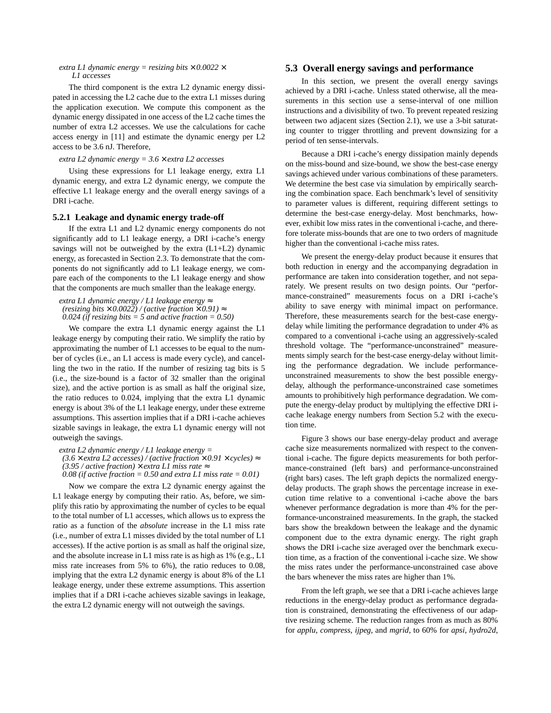#### *extra L1 dynamic energy = resizing bits*  $\times$  0.0022  $\times$ *L1 accesses*

The third component is the extra L2 dynamic energy dissipated in accessing the L2 cache due to the extra L1 misses during the application execution. We compute this component as the dynamic energy dissipated in one access of the L2 cache times the number of extra L2 accesses. We use the calculations for cache access energy in [11] and estimate the dynamic energy per L2 access to be 3.6 nJ. Therefore,

#### *extra L2 dynamic energy = 3.6* × *extra L2 accesses*

Using these expressions for L1 leakage energy, extra L1 dynamic energy, and extra L2 dynamic energy, we compute the effective L1 leakage energy and the overall energy savings of a DRI i-cache.

#### <span id="page-6-0"></span>**5.2.1 Leakage and dynamic energy trade-off**

If the extra L1 and L2 dynamic energy components do not significantly add to L1 leakage energy, a DRI i-cache's energy savings will not be outweighed by the extra (L1+L2) dynamic energy, as forecasted in [Section 2.3](#page-3-1). To demonstrate that the components do not significantly add to L1 leakage energy, we compare each of the components to the L1 leakage energy and show that the components are much smaller than the leakage energy.

*extra L1 dynamic energy / L1 leakage energy* <sup>≈</sup> *(resizing bits* <sup>×</sup> *0.0022) / (active fraction* <sup>×</sup> *0.91)* <sup>≈</sup> *0.024 (if resizing bits = 5 and active fraction = 0.50)*

We compare the extra L1 dynamic energy against the L1 leakage energy by computing their ratio. We simplify the ratio by approximating the number of L1 accesses to be equal to the number of cycles (i.e., an L1 access is made every cycle), and cancelling the two in the ratio. If the number of resizing tag bits is 5 (i.e., the size-bound is a factor of 32 smaller than the original size), and the active portion is as small as half the original size, the ratio reduces to 0.024, implying that the extra L1 dynamic energy is about 3% of the L1 leakage energy, under these extreme assumptions. This assertion implies that if a DRI i-cache achieves sizable savings in leakage, the extra L1 dynamic energy will not outweigh the savings.

```
extra L2 dynamic energy / L1 leakage energy =
(3.95 / \text{active fraction}) \times \text{extra } L1 \text{ miss rate} \approx 0.08 \text{ (if active fraction)} = 0.50 \text{ and extra } L1 \text{ miss rate} \approx 0.01
```
Now we compare the extra L2 dynamic energy against the L1 leakage energy by computing their ratio. As, before, we simplify this ratio by approximating the number of cycles to be equal to the total number of L1 accesses, which allows us to express the ratio as a function of the *absolute* increase in the L1 miss rate (i.e., number of extra L1 misses divided by the total number of L1 accesses). If the active portion is as small as half the original size, and the absolute increase in L1 miss rate is as high as 1% (e.g., L1 miss rate increases from 5% to 6%), the ratio reduces to 0.08, implying that the extra L2 dynamic energy is about 8% of the L1 leakage energy, under these extreme assumptions. This assertion implies that if a DRI i-cache achieves sizable savings in leakage, the extra L2 dynamic energy will not outweigh the savings.

# <span id="page-6-1"></span>**5.3 Overall energy savings and performance**

In this section, we present the overall energy savings achieved by a DRI i-cache. Unless stated otherwise, all the measurements in this section use a sense-interval of one million instructions and a divisibility of two. To prevent repeated resizing between two adjacent sizes ([Section 2.1](#page-2-1)), we use a 3-bit saturating counter to trigger throttling and prevent downsizing for a period of ten sense-intervals.

Because a DRI i-cache's energy dissipation mainly depends on the miss-bound and size-bound, we show the best-case energy savings achieved under various combinations of these parameters. We determine the best case via simulation by empirically searching the combination space. Each benchmark's level of sensitivity to parameter values is different, requiring different settings to determine the best-case energy-delay. Most benchmarks, however, exhibit low miss rates in the conventional i-cache, and therefore tolerate miss-bounds that are one to two orders of magnitude higher than the conventional i-cache miss rates.

We present the energy-delay product because it ensures that both reduction in energy and the accompanying degradation in performance are taken into consideration together, and not separately. We present results on two design points. Our "performance-constrained" measurements focus on a DRI i-cache's ability to save energy with minimal impact on performance. Therefore, these measurements search for the best-case energydelay while limiting the performance degradation to under 4% as compared to a conventional i-cache using an aggressively-scaled threshold voltage. The "performance-unconstrained" measurements simply search for the best-case energy-delay without limiting the performance degradation. We include performanceunconstrained measurements to show the best possible energydelay, although the performance-unconstrained case sometimes amounts to prohibitively high performance degradation. We compute the energy-delay product by multiplying the effective DRI icache leakage energy numbers from [Section 5.2](#page-5-2) with the execution time.

[Figure 3](#page-7-0) shows our base energy-delay product and average cache size measurements normalized with respect to the conventional i-cache. The figure depicts measurements for both performance-constrained (left bars) and performance-unconstrained (right bars) cases. The left graph depicts the normalized energydelay products. The graph shows the percentage increase in execution time relative to a conventional i-cache above the bars whenever performance degradation is more than 4% for the performance-unconstrained measurements. In the graph, the stacked bars show the breakdown between the leakage and the dynamic component due to the extra dynamic energy. The right graph shows the DRI i-cache size averaged over the benchmark execution time, as a fraction of the conventional i-cache size. We show the miss rates under the performance-unconstrained case above the bars whenever the miss rates are higher than 1%.

From the left graph, we see that a DRI i-cache achieves large reductions in the energy-delay product as performance degradation is constrained, demonstrating the effectiveness of our adaptive resizing scheme. The reduction ranges from as much as 80% for *applu*, *compress*, *ijpeg*, and *mgrid*, to 60% for *apsi*, *hydro2d*,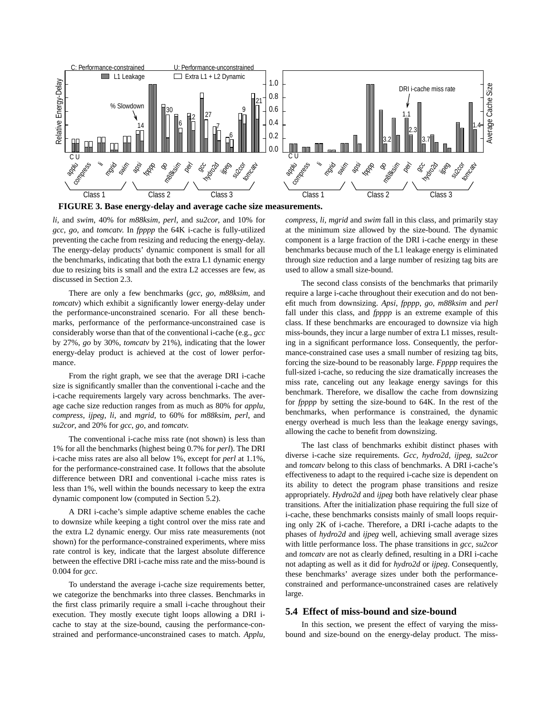

<span id="page-7-0"></span>**FIGURE 3. Base energy-delay and average cache size measurements.**

*li*, and *swim*, 40% for *m88ksim*, *perl*, and *su2cor*, and 10% for *gcc*, *go*, and *tomcatv*. In *fpppp* the 64K i-cache is fully-utilized preventing the cache from resizing and reducing the energy-delay. The energy-delay products' dynamic component is small for all the benchmarks, indicating that both the extra L1 dynamic energy due to resizing bits is small and the extra L2 accesses are few, as discussed in [Section 2.3.](#page-3-1)

There are only a few benchmarks (*gcc*, *go*, *m88ksim*, and *tomcatv*) which exhibit a significantly lower energy-delay under the performance-unconstrained scenario. For all these benchmarks, performance of the performance-unconstrained case is considerably worse than that of the conventional i-cache (e.g., *gcc* by 27%, *go* by 30%, *tomcatv* by 21%), indicating that the lower energy-delay product is achieved at the cost of lower performance.

From the right graph, we see that the average DRI i-cache size is significantly smaller than the conventional i-cache and the i-cache requirements largely vary across benchmarks. The average cache size reduction ranges from as much as 80% for *applu*, *compress*, *ijpeg*, *li*, and *mgrid*, to 60% for *m88ksim*, *perl*, and *su2cor*, and 20% for *gcc*, *go*, and *tomcatv*.

The conventional i-cache miss rate (not shown) is less than 1% for all the benchmarks (highest being 0.7% for *perl*). The DRI i-cache miss rates are also all below 1%, except for *perl* at 1.1%, for the performance-constrained case. It follows that the absolute difference between DRI and conventional i-cache miss rates is less than 1%, well within the bounds necessary to keep the extra dynamic component low (computed in [Section 5.2](#page-5-2)).

A DRI i-cache's simple adaptive scheme enables the cache to downsize while keeping a tight control over the miss rate and the extra L2 dynamic energy. Our miss rate measurements (not shown) for the performance-constrained experiments, where miss rate control is key, indicate that the largest absolute difference between the effective DRI i-cache miss rate and the miss-bound is 0.004 for *gcc*.

To understand the average i-cache size requirements better, we categorize the benchmarks into three classes. Benchmarks in the first class primarily require a small i-cache throughout their execution. They mostly execute tight loops allowing a DRI icache to stay at the size-bound, causing the performance-constrained and performance-unconstrained cases to match. *Applu,*

*compress, li, mgrid* and *swim* fall in this class, and primarily stay at the minimum size allowed by the size-bound. The dynamic component is a large fraction of the DRI i-cache energy in these benchmarks because much of the L1 leakage energy is eliminated through size reduction and a large number of resizing tag bits are used to allow a small size-bound.

The second class consists of the benchmarks that primarily require a large i-cache throughout their execution and do not benefit much from downsizing. *Apsi*, *fpppp, go, m88ksim* and *perl* fall under this class, and *fpppp* is an extreme example of this class. If these benchmarks are encouraged to downsize via high miss-bounds, they incur a large number of extra L1 misses, resulting in a significant performance loss. Consequently, the performance-constrained case uses a small number of resizing tag bits, forcing the size-bound to be reasonably large. *Fpppp* requires the full-sized i-cache, so reducing the size dramatically increases the miss rate, canceling out any leakage energy savings for this benchmark. Therefore, we disallow the cache from downsizing for *fpppp* by setting the size-bound to 64K. In the rest of the benchmarks, when performance is constrained, the dynamic energy overhead is much less than the leakage energy savings, allowing the cache to benefit from downsizing.

The last class of benchmarks exhibit distinct phases with diverse i-cache size requirements. *Gcc, hydro2d, ijpeg, su2cor* and *tomcatv* belong to this class of benchmarks. A DRI i-cache's effectiveness to adapt to the required i-cache size is dependent on its ability to detect the program phase transitions and resize appropriately. *Hydro2d* and *ijpeg* both have relatively clear phase transitions*.* After the initialization phase requiring the full size of i-cache, these benchmarks consists mainly of small loops requiring only 2K of i-cache. Therefore, a DRI i-cache adapts to the phases of *hydro2d* and *ijpeg* well, achieving small average sizes with little performance loss. The phase transitions in *gcc, su2cor* and *tomcatv* are not as clearly defined, resulting in a DRI i-cache not adapting as well as it did for *hydro2d* or *ijpeg*. Consequently, these benchmarks' average sizes under both the performanceconstrained and performance-unconstrained cases are relatively large.

#### **5.4 Effect of miss-bound and size-bound**

In this section, we present the effect of varying the missbound and size-bound on the energy-delay product. The miss-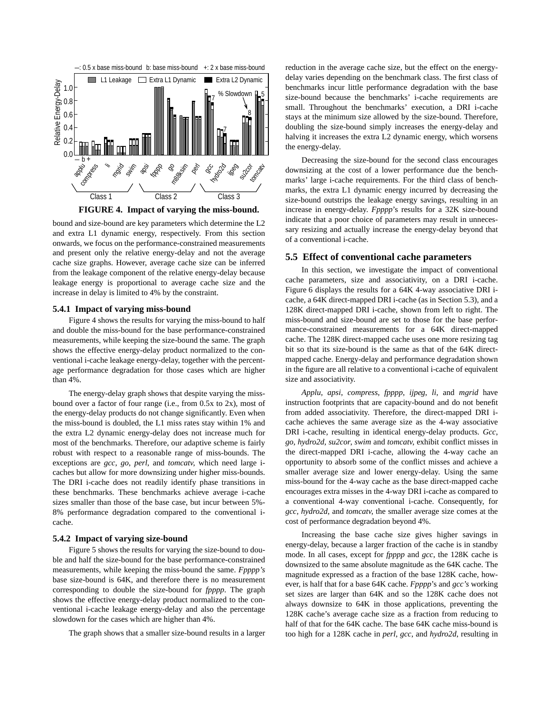

<span id="page-8-0"></span>**FIGURE 4. Impact of varying the miss-bound.**

bound and size-bound are key parameters which determine the L2 and extra L1 dynamic energy, respectively. From this section onwards, we focus on the performance-constrained measurements and present only the relative energy-delay and not the average cache size graphs. However, average cache size can be inferred from the leakage component of the relative energy-delay because leakage energy is proportional to average cache size and the increase in delay is limited to 4% by the constraint.

#### **5.4.1 Impact of varying miss-bound**

[Figure 4](#page-8-0) shows the results for varying the miss-bound to half and double the miss-bound for the base performance-constrained measurements, while keeping the size-bound the same. The graph shows the effective energy-delay product normalized to the conventional i-cache leakage energy-delay, together with the percentage performance degradation for those cases which are higher than 4%.

The energy-delay graph shows that despite varying the missbound over a factor of four range (i.e., from 0.5x to 2x), most of the energy-delay products do not change significantly. Even when the miss-bound is doubled, the L1 miss rates stay within 1% and the extra L2 dynamic energy-delay does not increase much for most of the benchmarks. Therefore, our adaptive scheme is fairly robust with respect to a reasonable range of miss-bounds. The exceptions are *gcc*, *go*, *perl*, and *tomcatv*, which need large icaches but allow for more downsizing under higher miss-bounds. The DRI i-cache does not readily identify phase transitions in these benchmarks. These benchmarks achieve average i-cache sizes smaller than those of the base case, but incur between 5%- 8% performance degradation compared to the conventional icache.

#### **5.4.2 Impact of varying size-bound**

[Figure 5](#page-9-3) shows the results for varying the size-bound to double and half the size-bound for the base performance-constrained measurements, while keeping the miss-bound the same. *Fpppp's* base size-bound is 64K, and therefore there is no measurement corresponding to double the size-bound for *fpppp*. The graph shows the effective energy-delay product normalized to the conventional i-cache leakage energy-delay and also the percentage slowdown for the cases which are higher than 4%.

The graph shows that a smaller size-bound results in a larger

reduction in the average cache size, but the effect on the energydelay varies depending on the benchmark class. The first class of benchmarks incur little performance degradation with the base size-bound because the benchmarks' i-cache requirements are small. Throughout the benchmarks' execution, a DRI i-cache stays at the minimum size allowed by the size-bound. Therefore, doubling the size-bound simply increases the energy-delay and halving it increases the extra L2 dynamic energy, which worsens the energy-delay.

Decreasing the size-bound for the second class encourages downsizing at the cost of a lower performance due the benchmarks' large i-cache requirements. For the third class of benchmarks, the extra L1 dynamic energy incurred by decreasing the size-bound outstrips the leakage energy savings, resulting in an increase in energy-delay. *Fpppp*'s results for a 32K size-bound indicate that a poor choice of parameters may result in unnecessary resizing and actually increase the energy-delay beyond that of a conventional i-cache.

# **5.5 Effect of conventional cache parameters**

In this section, we investigate the impact of conventional cache parameters, size and associativity, on a DRI i-cache. [Figure 6](#page-9-4) displays the results for a 64K 4-way associative DRI icache, a 64K direct-mapped DRI i-cache (as in [Section 5.3](#page-6-1)), and a 128K direct-mapped DRI i-cache, shown from left to right. The miss-bound and size-bound are set to those for the base performance-constrained measurements for a 64K direct-mapped cache. The 128K direct-mapped cache uses one more resizing tag bit so that its size-bound is the same as that of the 64K directmapped cache. Energy-delay and performance degradation shown in the figure are all relative to a conventional i-cache of equivalent size and associativity.

*Applu*, *apsi*, *compress*, *fpppp*, *ijpeg*, *li*, and *mgrid* have instruction footprints that are capacity-bound and do not benefit from added associativity. Therefore, the direct-mapped DRI icache achieves the same average size as the 4-way associative DRI i-cache, resulting in identical energy-delay products. *Gcc*, *go*, *hydro2d*, *su2cor*, *swim* and *tomcatv*, exhibit conflict misses in the direct-mapped DRI i-cache, allowing the 4-way cache an opportunity to absorb some of the conflict misses and achieve a smaller average size and lower energy-delay. Using the same miss-bound for the 4-way cache as the base direct-mapped cache encourages extra misses in the 4-way DRI i-cache as compared to a conventional 4-way conventional i-cache. Consequently, for *gcc*, *hydro2d*, and *tomcatv*, the smaller average size comes at the cost of performance degradation beyond 4%.

Increasing the base cache size gives higher savings in energy-delay, because a larger fraction of the cache is in standby mode. In all cases, except for *fpppp* and *gcc*, the 128K cache is downsized to the same absolute magnitude as the 64K cache. The magnitude expressed as a fraction of the base 128K cache, however, is half that for a base 64K cache. *Fpppp*'s and *gcc's* working set sizes are larger than 64K and so the 128K cache does not always downsize to 64K in those applications, preventing the 128K cache's average cache size as a fraction from reducing to half of that for the 64K cache. The base 64K cache miss-bound is too high for a 128K cache in *perl*, *gcc*, and *hydro2d*, resulting in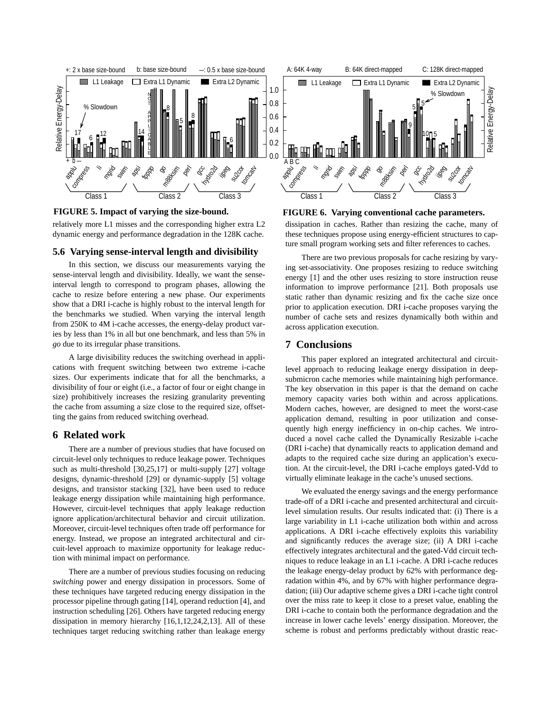

<span id="page-9-3"></span>**FIGURE 5. Impact of varying the size-bound.**

relatively more L1 misses and the corresponding higher extra L2 dynamic energy and performance degradation in the 128K cache.

#### <span id="page-9-2"></span>**5.6 Varying sense-interval length and divisibility**

In this section, we discuss our measurements varying the sense-interval length and divisibility. Ideally, we want the senseinterval length to correspond to program phases, allowing the cache to resize before entering a new phase. Our experiments show that a DRI i-cache is highly robust to the interval length for the benchmarks we studied. When varying the interval length from 250K to 4M i-cache accesses, the energy-delay product varies by less than 1% in all but one benchmark, and less than 5% in *go* due to its irregular phase transitions.

A large divisibility reduces the switching overhead in applications with frequent switching between two extreme i-cache sizes. Our experiments indicate that for all the benchmarks, a divisibility of four or eight (i.e., a factor of four or eight change in size) prohibitively increases the resizing granularity preventing the cache from assuming a size close to the required size, offsetting the gains from reduced switching overhead.

### <span id="page-9-0"></span>**6 Related work**

There are a number of previous studies that have focused on circuit-level only techniques to reduce leakage power. Techniques such as multi-threshold [30,25,17] or multi-supply [27] voltage designs, dynamic-threshold [29] or dynamic-supply [5] voltage designs, and transistor stacking [32], have been used to reduce leakage energy dissipation while maintaining high performance. However, circuit-level techniques that apply leakage reduction ignore application/architectural behavior and circuit utilization. Moreover, circuit-level techniques often trade off performance for energy. Instead, we propose an integrated architectural and circuit-level approach to maximize opportunity for leakage reduction with minimal impact on performance.

There are a number of previous studies focusing on reducing *switching* power and energy dissipation in processors. Some of these techniques have targeted reducing energy dissipation in the processor pipeline through gating [14], operand reduction [4], and instruction scheduling [26]. Others have targeted reducing energy dissipation in memory hierarchy [16,1,12,24,2,13]. All of these techniques target reducing switching rather than leakage energy



<span id="page-9-4"></span>**FIGURE 6. Varying conventional cache parameters.**

dissipation in caches. Rather than resizing the cache, many of these techniques propose using energy-efficient structures to capture small program working sets and filter references to caches.

There are two previous proposals for cache resizing by varying set-associativity. One proposes resizing to reduce switching energy [1] and the other uses resizing to store instruction reuse information to improve performance [21]. Both proposals use static rather than dynamic resizing and fix the cache size once prior to application execution. DRI i-cache proposes varying the number of cache sets and resizes dynamically both within and across application execution.

# <span id="page-9-1"></span>**7 Conclusions**

This paper explored an integrated architectural and circuitlevel approach to reducing leakage energy dissipation in deepsubmicron cache memories while maintaining high performance. The key observation in this paper is that the demand on cache memory capacity varies both within and across applications. Modern caches, however, are designed to meet the worst-case application demand, resulting in poor utilization and consequently high energy inefficiency in on-chip caches. We introduced a novel cache called the Dynamically Resizable i-cache (DRI i-cache) that dynamically reacts to application demand and adapts to the required cache size during an application's execution. At the circuit-level, the DRI i-cache employs gated-Vdd to virtually eliminate leakage in the cache's unused sections.

We evaluated the energy savings and the energy performance trade-off of a DRI i-cache and presented architectural and circuitlevel simulation results. Our results indicated that: (i) There is a large variability in L1 i-cache utilization both within and across applications. A DRI i-cache effectively exploits this variability and significantly reduces the average size; (ii) A DRI i-cache effectively integrates architectural and the gated-Vdd circuit techniques to reduce leakage in an L1 i-cache. A DRI i-cache reduces the leakage energy-delay product by 62% with performance degradation within 4%, and by 67% with higher performance degradation; (iii) Our adaptive scheme gives a DRI i-cache tight control over the miss rate to keep it close to a preset value, enabling the DRI i-cache to contain both the performance degradation and the increase in lower cache levels' energy dissipation. Moreover, the scheme is robust and performs predictably without drastic reac